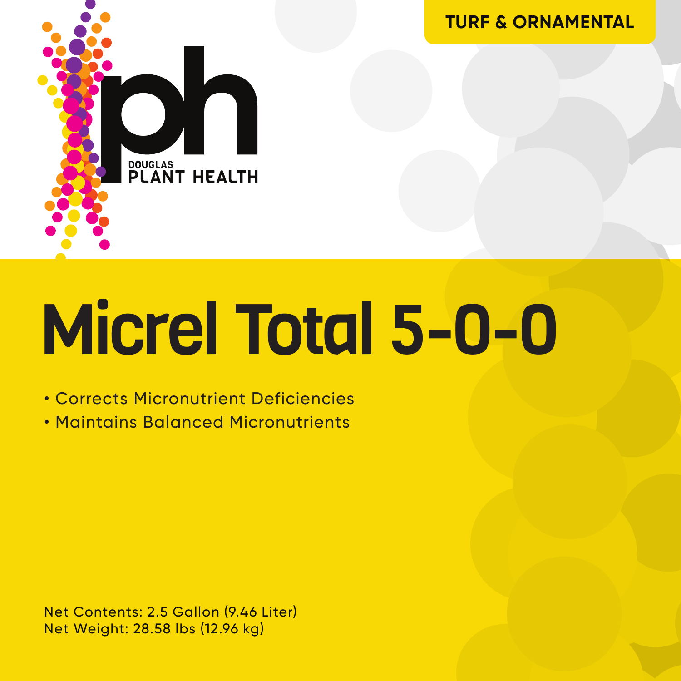

Micrel Total 5-0-0

• Corrects Micronutrient Deficiencies

• Maintains Balanced Micronutrients

Net Contents: 2.5 Gallon (9.46 Liter) Net Weight: 28.58 lbs (12.96 kg)

**TURF & ORNAMENTAL**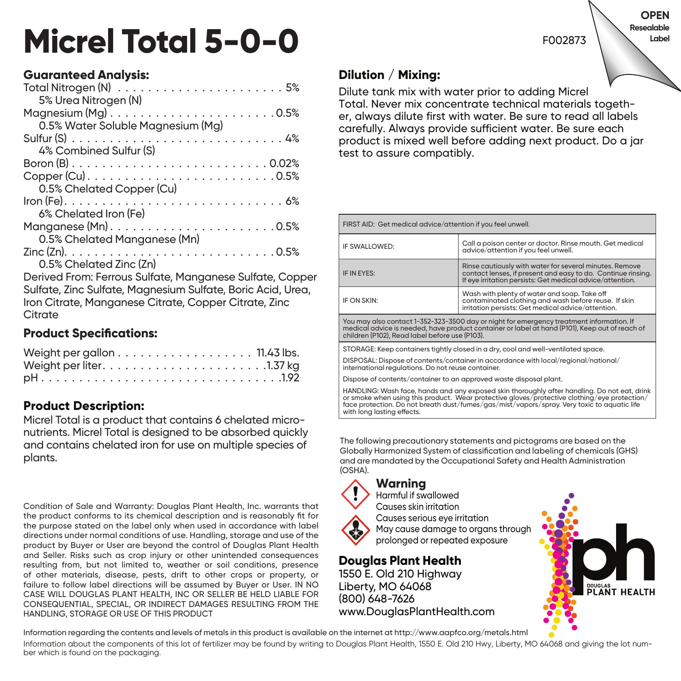# **Micrel Total 5-0-0**

#### F002873 **Label**

**OPEN Resealable** 

## **Guaranteed Analysis:**

Derived From: Ferrous Sulfate, Manganese Sulfate, Copper Sulfate, Zinc Sulfate, Magnesium Sulfate, Boric Acid, Urea, Iron Citrate, Manganese Citrate, Copper Citrate, Zinc **Citrate** 

#### **Product Specifications:**

| Weight per gallon 11.43 lbs. |  |  |  |  |  |  |  |  |  |
|------------------------------|--|--|--|--|--|--|--|--|--|
|                              |  |  |  |  |  |  |  |  |  |
|                              |  |  |  |  |  |  |  |  |  |

## **Product Description:**

Micrel Total is a product that contains 6 chelated micronutrients. Micrel Total is designed to be absorbed quickly and contains chelated iron for use on multiple species of plants.

Condition of Sale and Warranty: Douglas Plant Health, Inc. warrants that the product conforms to its chemical description and is reasonably fit for the purpose stated on the label only when used in accordance with label directions under normal conditions of use. Handling, storage and use of the product by Buyer or User are beyond the control of Douglas Plant Health and Seller. Risks such as crop injury or other unintended consequences resulting from, but not limited to, weather or soil conditions, presence of other materials, disease, pests, drift to other crops or property, or failure to follow label directions will be assumed by Buyer or User. IN NO CASE WILL DOUGLAS PLANT HEALTH, INC OR SELLER BE HELD LIABLE FOR CONSEQUENTIAL, SPECIAL, OR INDIRECT DAMAGES RESULTING FROM THE HANDLING, STORAGE OR USE OF THIS PRODUCT

# **Dilution / Mixing:**

Dilute tank mix with water prior to adding Micrel Total. Never mix concentrate technical materials together, always dilute first with water. Be sure to read all labels carefully. Always provide sufficient water. Be sure each product is mixed well before adding next product. Do a jar test to assure compatibly.

| FIRST AID: Get medical advice/attention if you feel unwell.                                                                                                                                                                                  |                                                                                                                                                                                      |  |  |  |  |
|----------------------------------------------------------------------------------------------------------------------------------------------------------------------------------------------------------------------------------------------|--------------------------------------------------------------------------------------------------------------------------------------------------------------------------------------|--|--|--|--|
| IF SWALLOWED:                                                                                                                                                                                                                                | Call a poison center or doctor. Rinse mouth, Get medical<br>advice/attention if you feel unwell.                                                                                     |  |  |  |  |
| IF IN EYES:                                                                                                                                                                                                                                  | Rinse cautiously with water for several minutes. Remove<br>contact lenses, if present and easy to do. Continue rinsina.<br>If eye irritation persists: Get medical advice/attention. |  |  |  |  |
| Wash with plenty of water and soap. Take off<br>IF ON SKIN:<br>contaminated clothing and wash before reuse. If skin<br>irritation persists: Get medical advice/attention.                                                                    |                                                                                                                                                                                      |  |  |  |  |
| You may also contact 1-352-323-3500 day or night for emergency treatment information. If<br>medical advice is needed, have product container or label at hand (P101), Keep out of reach of<br>children (P102), Read label before use (P103). |                                                                                                                                                                                      |  |  |  |  |
| STORAGE: Keep containers tightly closed in a dry, cool and well-ventilated space.                                                                                                                                                            |                                                                                                                                                                                      |  |  |  |  |
| DISPOSAL: Dispose of contents/container in accordance with local/regional/national/<br>international regulations. Do not reuse container.                                                                                                    |                                                                                                                                                                                      |  |  |  |  |
| Dispose of contents/container to an approved waste disposal plant.                                                                                                                                                                           |                                                                                                                                                                                      |  |  |  |  |
| HANDLING: Wash face, hands and any exposed skin thoroughly after handling. Do not eat, drink<br>or smoke when using this product. Wear protective gloves/protective clothing/eye protection/                                                 |                                                                                                                                                                                      |  |  |  |  |

The following precautionary statements and pictograms are based on the Globally Harmonized System of classification and labeling of chemicals (GHS) and are mandated by the Occupational Safety and Health Administration (OSHA).

face protection. Do not breath dust/fumes/gas/mist/vapors/spray. Very toxic to aquatic life

#### **Warning**

with long lasting effects.



Harmful if swallowed Causes skin irritation Causes serious eye irritation May cause damage to organs through prolonged or repeated exposure

#### **Douglas Plant Health**

1550 E. Old 210 Highway Liberty, MO 64068 (800) 648-7626 www.DouglasPlantHealth.com



Information regarding the contents and levels of metals in this product is available on the internet at http://www.aapfco.org/metals.html

Information about the components of this lot of fertilizer may be found by writing to Douglas Plant Health, 1550 E. Old 210 Hwy, Liberty, MO 64068 and giving the lot number which is found on the packaging.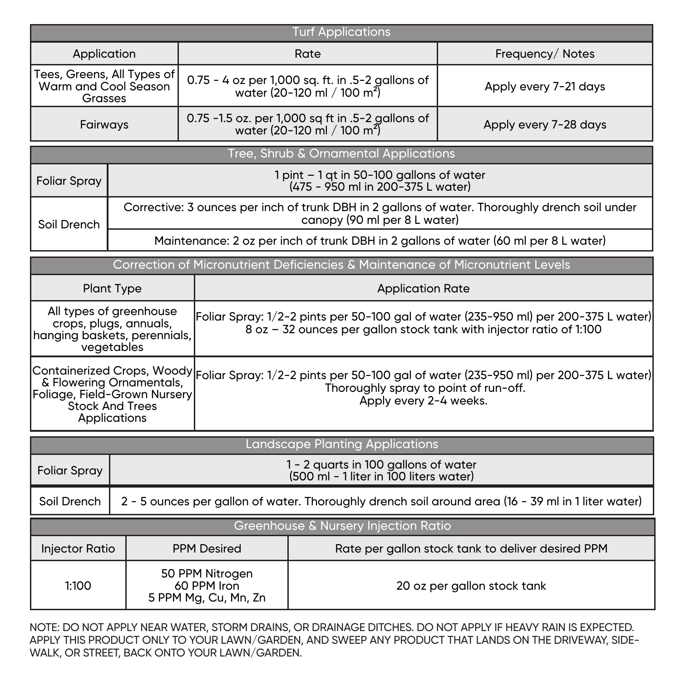| <b>Turf Applications</b>                                                                                                                      |                                                                    |                                                   |                                                                                                                                                                                   |                             |  |  |  |  |  |
|-----------------------------------------------------------------------------------------------------------------------------------------------|--------------------------------------------------------------------|---------------------------------------------------|-----------------------------------------------------------------------------------------------------------------------------------------------------------------------------------|-----------------------------|--|--|--|--|--|
| Application                                                                                                                                   |                                                                    |                                                   | Rate                                                                                                                                                                              | Frequency/Notes             |  |  |  |  |  |
| Tees, Greens, All Types of<br>Warm and Cool Season<br>Grasses                                                                                 |                                                                    |                                                   | 0.75 - 4 oz per 1,000 sq. ft. in .5-2 gallons of<br>water (20-120 ml / 100 m <sup>2</sup> )                                                                                       | Apply every 7-21 days       |  |  |  |  |  |
| Fairways                                                                                                                                      |                                                                    |                                                   | 0.75 -1.5 oz. per 1,000 sq ft in .5-2 gallons of<br>water (20-120 ml / 100 m <sup>2</sup> )                                                                                       | Apply every 7-28 days       |  |  |  |  |  |
|                                                                                                                                               |                                                                    |                                                   | Tree, Shrub & Ornamental Applications                                                                                                                                             |                             |  |  |  |  |  |
| $1$ pint $-1$ gt in 50-100 gallons of water<br><b>Foliar Spray</b><br>(475 - 950 ml in 200-375 L water)                                       |                                                                    |                                                   |                                                                                                                                                                                   |                             |  |  |  |  |  |
| Corrective: 3 ounces per inch of trunk DBH in 2 gallons of water. Thoroughly drench soil under<br>canopy (90 ml per 8 L water)<br>Soil Drench |                                                                    |                                                   |                                                                                                                                                                                   |                             |  |  |  |  |  |
| Maintenance: 2 oz per inch of trunk DBH in 2 gallons of water (60 ml per 8 L water)                                                           |                                                                    |                                                   |                                                                                                                                                                                   |                             |  |  |  |  |  |
|                                                                                                                                               |                                                                    |                                                   | Correction of Micronutrient Deficiencies & Maintenance of Micronutrient Levels                                                                                                    |                             |  |  |  |  |  |
|                                                                                                                                               | <b>Plant Type</b>                                                  |                                                   | <b>Application Rate</b>                                                                                                                                                           |                             |  |  |  |  |  |
| hanging baskets, perennials,                                                                                                                  | All types of greenhouse<br>crops, plugs, annuals,<br>vegetables    |                                                   | [Foliar Spray: 1/2-2 pints per 50-100 gal of water (235-950 ml) per 200-375 L water)<br>8 oz - 32 ounces per gallon stock tank with injector ratio of 1:100                       |                             |  |  |  |  |  |
| Foliage, Field-Grown Nursery                                                                                                                  | & Flowering Ornamentals,<br><b>Stock And Trees</b><br>Applications |                                                   | Containerized Crops, Woody Foliar Spray: 1/2-2 pints per 50-100 gal of water (235-950 ml) per 200-375 L water)<br>Thoroughly spray to point of run-off.<br>Apply every 2-4 weeks. |                             |  |  |  |  |  |
| Landscape Planting Applications                                                                                                               |                                                                    |                                                   |                                                                                                                                                                                   |                             |  |  |  |  |  |
| 1 - 2 quarts in 100 gallons of water<br>(500 ml - 1 liter in 100 liters water)<br><b>Foliar Spray</b>                                         |                                                                    |                                                   |                                                                                                                                                                                   |                             |  |  |  |  |  |
| Soil Drench<br>2 - 5 ounces per gallon of water. Thoroughly drench soil around area (16 - 39 ml in 1 liter water)                             |                                                                    |                                                   |                                                                                                                                                                                   |                             |  |  |  |  |  |
| Greenhouse & Nursery Injection Ratio                                                                                                          |                                                                    |                                                   |                                                                                                                                                                                   |                             |  |  |  |  |  |
| <b>Injector Ratio</b><br><b>PPM Desired</b>                                                                                                   |                                                                    | Rate per gallon stock tank to deliver desired PPM |                                                                                                                                                                                   |                             |  |  |  |  |  |
| 50 PPM Nitrogen<br>1:100<br>60 PPM Iron<br>5 PPM Mg, Cu, Mn, Zn                                                                               |                                                                    |                                                   |                                                                                                                                                                                   | 20 oz per gallon stock tank |  |  |  |  |  |

NOTE: DO NOT APPLY NEAR WATER, STORM DRAINS, OR DRAINAGE DITCHES. DO NOT APPLY IF HEAVY RAIN IS EXPECTED. APPLY THIS PRODUCT ONLY TO YOUR LAWN/GARDEN, AND SWEEP ANY PRODUCT THAT LANDS ON THE DRIVEWAY, SIDE-WALK, OR STREET, BACK ONTO YOUR LAWN/GARDEN.